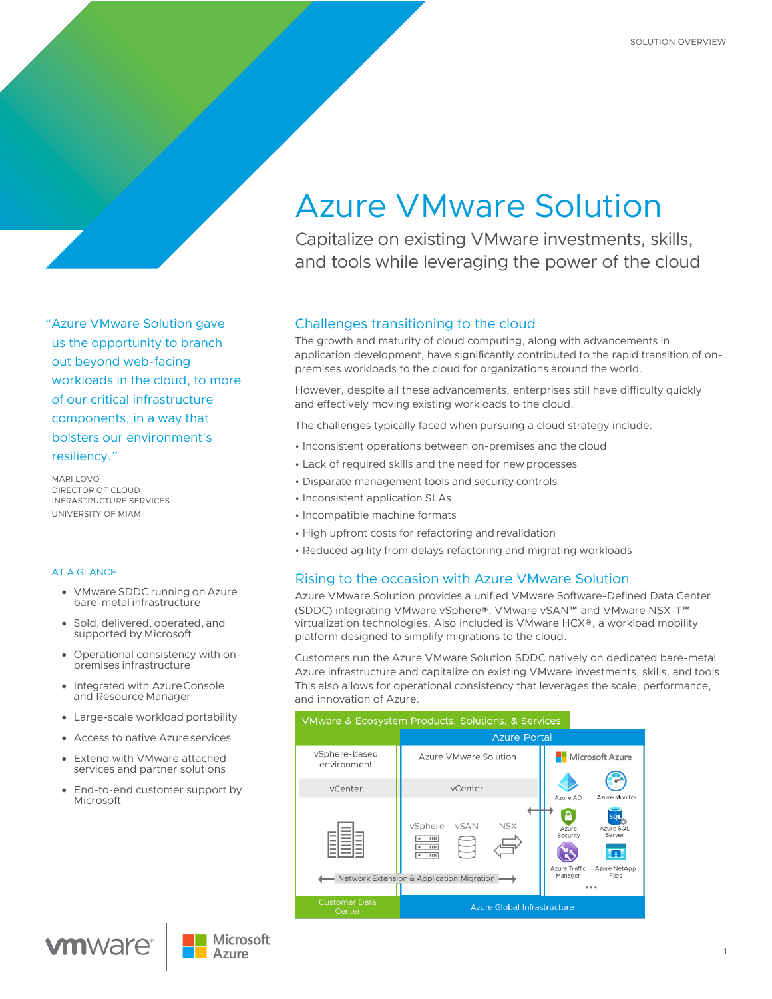# "Azure VMware Solution gave us the opportunity to branch out beyond web-facing workloads in the cloud, to more of our critical infrastructure components, in a way that bolsters our environment's resiliency."

MARI LOVO DIRECTOR OF CLOUD INFRASTRUCTURE SERVICES UNIVERSITY OF MIAMI

#### AT A GLANCE

- VMware SDDC running on Azure bare-metal infrastructure
- Sold, delivered, operated, and supported by Microsoft
- Operational consistency with onpremises infrastructure
- Integrated with AzureConsole and Resource Manager
- Large-scale workload portability
- Access to native Azureservices
- Extend with VMware attached services and partner solutions
- End-to-end customer support by Microsoft

# Azure VMware Solution

Capitalize on existing VMware investments, skills, and tools while leveraging the power of the cloud

# Challenges transitioning to the cloud

The growth and maturity of cloud computing, along with advancements in application development, have significantly contributed to the rapid transition of onpremises workloads to the cloud for organizations around the world.

However, despite all these advancements, enterprises still have difficulty quickly and effectively moving existing workloads to the cloud.

The challenges typically faced when pursuing a cloud strategy include:

- Inconsistent operations between on-premises and the cloud
- Lack of required skills and the need for new processes
- Disparate management tools and security controls
- Inconsistent application SLAs
- Incompatible machine formats
- High upfront costs for refactoring and revalidation
- Reduced agility from delays refactoring and migrating workloads

# Rising to the occasion with Azure VMware Solution

Azure VMware Solution provides a unified VMware Software-Defined Data Center (SDDC) integrating VMware vSphere®, VMware vSAN™ and VMware NSX-T™ virtualization technologies. Also included is VMware HCX®, a workload mobility platform designed to simplify migrations to the cloud.

Customers run the Azure VMware Solution SDDC natively on dedicated bare-metal Azure infrastructure and capitalize on existing VMware investments, skills, and tools. This also allows for operational consistency that leverages the scale, performance, and innovation of Azure.





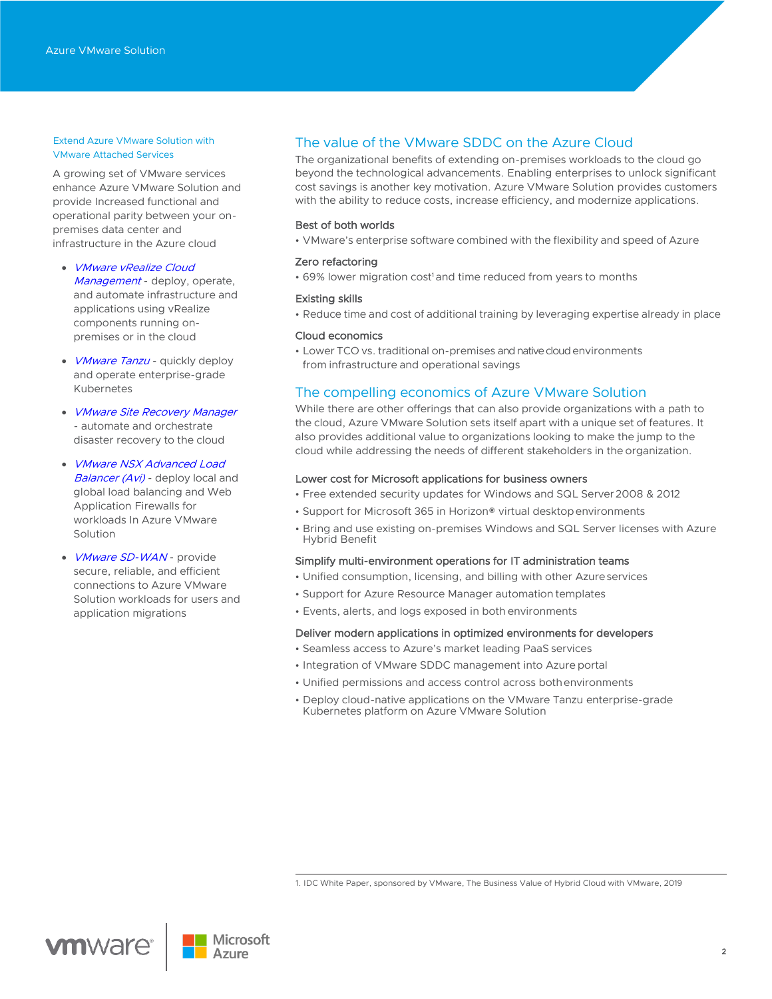#### Extend Azure VMware Solution with VMware Attached Services

A growing set of VMware services enhance Azure VMware Solution and provide Increased functional and operational parity between your onpremises data center and infrastructure in the Azure cloud

- [VMware vRealize](https://www.vmware.com/products/vrealize-cloud-management.html) Cloud [Management](https://www.vmware.com/products/vrealize-cloud-management.html) - deploy, operate, and automate infrastructure and applications using vRealize components running onpremises or in the cloud
- *[VMware Tanzu](https://tanzu.vmware.com/tanzu/standard)* quickly deploy and operate enterprise-grade Kubernetes
- [VMware Site Recovery Manager](https://www.vmware.com/products/site-recovery-manager.html) - automate and orchestrate disaster recovery to the cloud
- **VMware NSX Advanced Load** [Balancer \(Avi\)](https://www.vmware.com/products/nsx-advanced-load-balancer.html) - deploy local and global load balancing and Web Application Firewalls for workloads In Azure VMware Solution
- *[VMware SD-WAN](https://sase.vmware.com/products)-* provide secure, reliable, and efficient connections to Azure VMware Solution workloads for users and application migrations

# The value of the VMware SDDC on the Azure Cloud

The organizational benefits of extending on-premises workloads to the cloud go beyond the technological advancements. Enabling enterprises to unlock significant cost savings is another key motivation. Azure VMware Solution provides customers with the ability to reduce costs, increase efficiency, and modernize applications.

#### Best of both worlds

• VMware's enterprise software combined with the flexibility and speed of Azure

#### Zero refactoring

• 69% lower migration cost<sup>1</sup> and time reduced from years to months

#### Existing skills

• Reduce time and cost of additional training by leveraging expertise already in place

#### Cloud economics

• Lower TCO vs. traditional on-premises and native cloud environments from infrastructure and operational savings

### The compelling economics of Azure VMware Solution

While there are other offerings that can also provide organizations with a path to the cloud, Azure VMware Solution sets itself apart with a unique set of features. It also provides additional value to organizations looking to make the jump to the cloud while addressing the needs of different stakeholders in the organization.

#### Lower cost for Microsoft applications for business owners

- Free extended security updates for Windows and SQL Server2008 & 2012
- Support for Microsoft 365 in Horizon® virtual desktopenvironments
- Bring and use existing on-premises Windows and SQL Server licenses with Azure Hybrid Benefit

#### Simplify multi-environment operations for IT administration teams

- Unified consumption, licensing, and billing with other Azureservices
- Support for Azure Resource Manager automation templates
- Events, alerts, and logs exposed in both environments

#### Deliver modern applications in optimized environments for developers

- Seamless access to Azure's market leading PaaS services
- Integration of VMware SDDC management into Azure portal
- Unified permissions and access control across bothenvironments
- Deploy cloud-native applications on the VMware Tanzu enterprise-grade Kubernetes platform on Azure VMware Solution